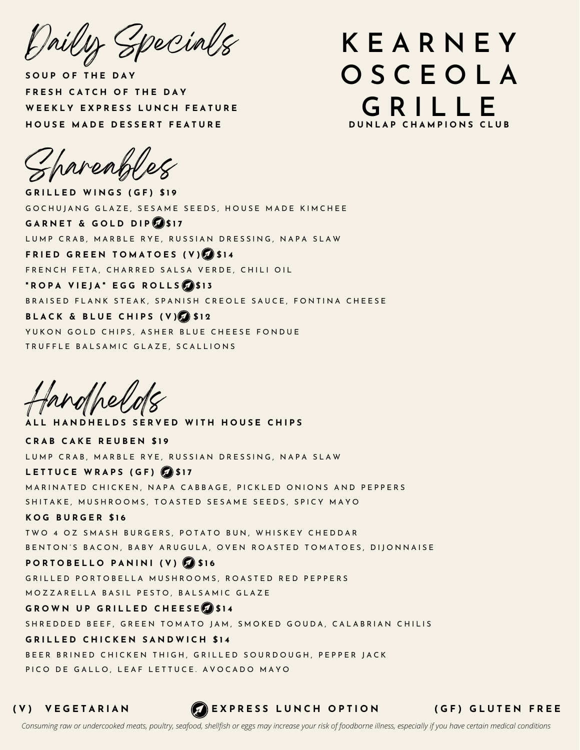Daily Specials

**S O U P O F T H E D A Y F R E S H C A T C H O F T H E D A Y W E E K L Y E X P R E S S L U N C H F E A T U R E H O U S E M A D E D E S S E R T F E A T U R E**

## **K E A R N E Y O S C E O L A G R I L L E D U N L A P C H A M P I O N S C L U B**

Shareables

**G R I L L E D W I N G S ( G F ) \$ 1 9** GOCHUIANG GLAZE, SESAME SEEDS, HOUSE MADE KIMCHEE **G A R N E T & G O L D D I P \$ 1 7** LUMP CRAB, MARBLE RYE, RUSSIAN DRESSING, NAPA SLAW **F R I E D G R E E N T O M A T O E S ( V ) \$ 1 4** FRENCH FETA, CHARRED SALSA VERDE, CHILI OIL **" R O P A V I E J A " E G G R O L L S \$ 1 3** BRAISED FLANK STEAK, SPANISH CREOLE SAUCE, FONTINA CHEESE **B L A C K & B L U E C H I P S ( V ) \$ 1 2** YUKON GOLD CHIPS, ASHER BLUE CHEESE FONDUE TRUFFLE BALSAMIC GLAZE, SCALLIONS

fandhel

ALL HANDHELDS SERVED WITH HOUSE CHIPS **C R A B C A K E R E U B E N \$ 1 9** LUMP CRAB, MARBLE RYE, RUSSIAN DRESSING, NAPA SLAW **L E T T U C E W R A P S ( G F ) \$ 1 7** MARINATED CHICKEN, NAPA CABBAGE, PICKLED ONIONS AND PEPPERS SHITAKE, MUSHROOMS, TOASTED SESAME SEEDS, SPICY MAYO **K O G B U R G E R \$ 1 6** TWO 4 OZ SMASH BURGERS, POTATO BUN, WHISKEY CHEDDAR BENTON'S BACON, BABY ARUGULA, OVEN ROASTED TOMATOES, DIIONNAISE **P O R T O B E L L O P A N I N I ( V ) \$ 1 6** GRILLED PORTOBELLA MUSHROOMS, ROASTED RED PEPPERS MOZZARELLA BASIL PESTO, BALSAMIC GLAZE **G R O W N U P G R I L L E D C H E E S E \$ 1 4** SHREDDED BEEF, GREEN TOMATO JAM, SMOKED GOUDA, CALABRIAN CHILIS **G R I L L E D C H I C K E N S A N D W I C H \$ 1 4** BEER BRINED CHICKEN THIGH, GRILLED SOURDOUGH, PEPPER JACK PICO DE GALLO, LEAF LETTUCE. AVOCADO MAYO

(V) VEGETARIAN (A)EXPRESS LUNCH OPTION (GF) GLUTEN FREE